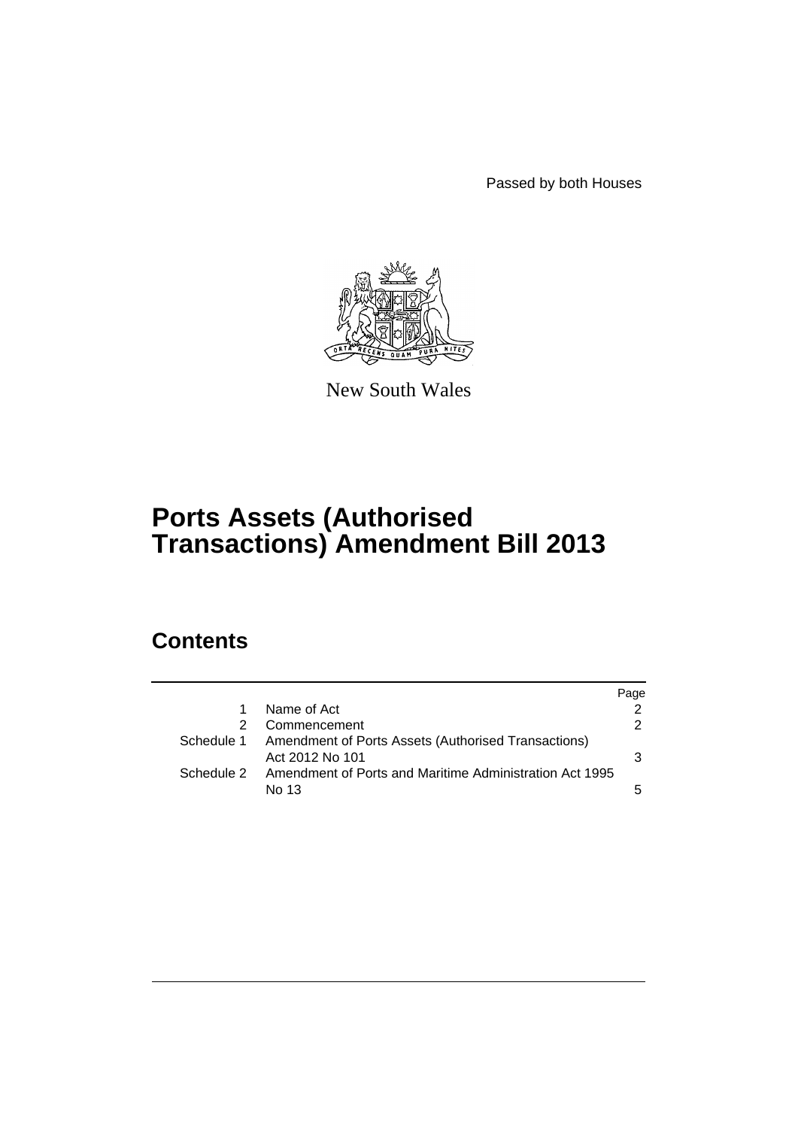Passed by both Houses



New South Wales

# **Ports Assets (Authorised Transactions) Amendment Bill 2013**

## **Contents**

|            |                                                                        | Page          |
|------------|------------------------------------------------------------------------|---------------|
| 1          | Name of Act                                                            |               |
|            | Commencement                                                           | $\mathcal{P}$ |
| Schedule 1 | Amendment of Ports Assets (Authorised Transactions)<br>Act 2012 No 101 | 3             |
| Schedule 2 | Amendment of Ports and Maritime Administration Act 1995<br>No 13       | 5             |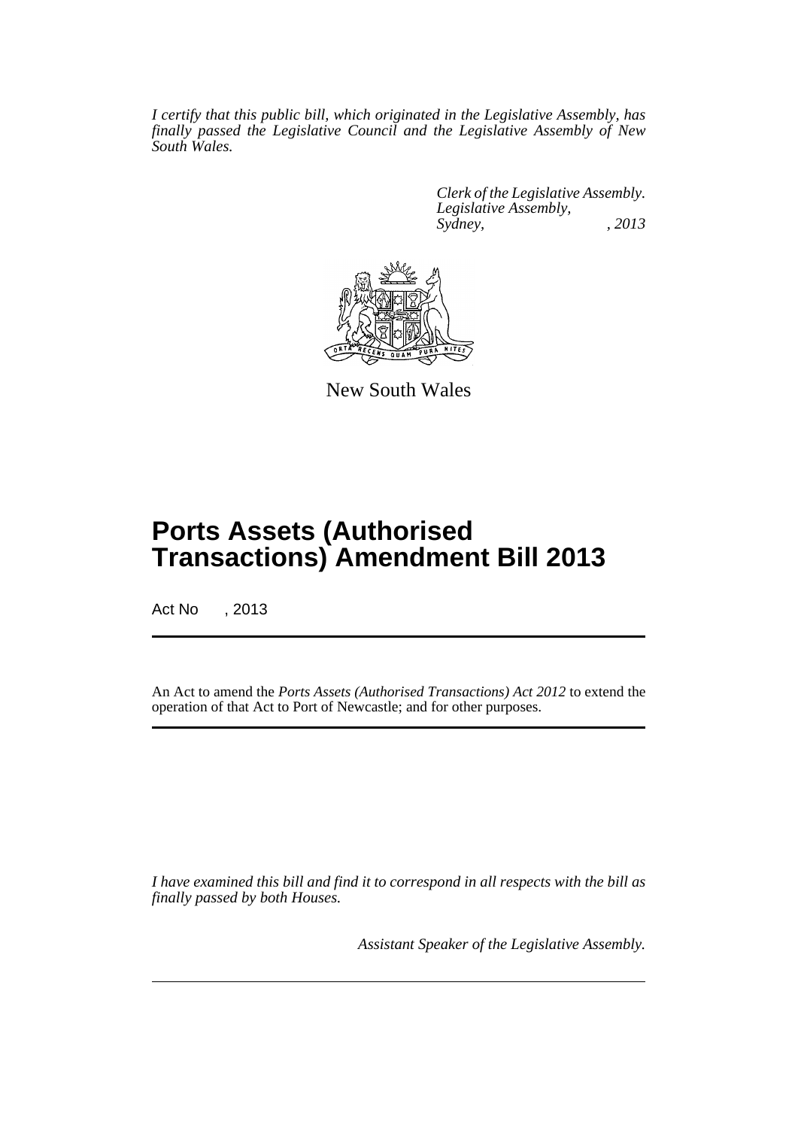*I certify that this public bill, which originated in the Legislative Assembly, has finally passed the Legislative Council and the Legislative Assembly of New South Wales.*

> *Clerk of the Legislative Assembly. Legislative Assembly, Sydney, , 2013*



New South Wales

## **Ports Assets (Authorised Transactions) Amendment Bill 2013**

Act No , 2013

An Act to amend the *Ports Assets (Authorised Transactions) Act 2012* to extend the operation of that Act to Port of Newcastle; and for other purposes.

*I have examined this bill and find it to correspond in all respects with the bill as finally passed by both Houses.*

*Assistant Speaker of the Legislative Assembly.*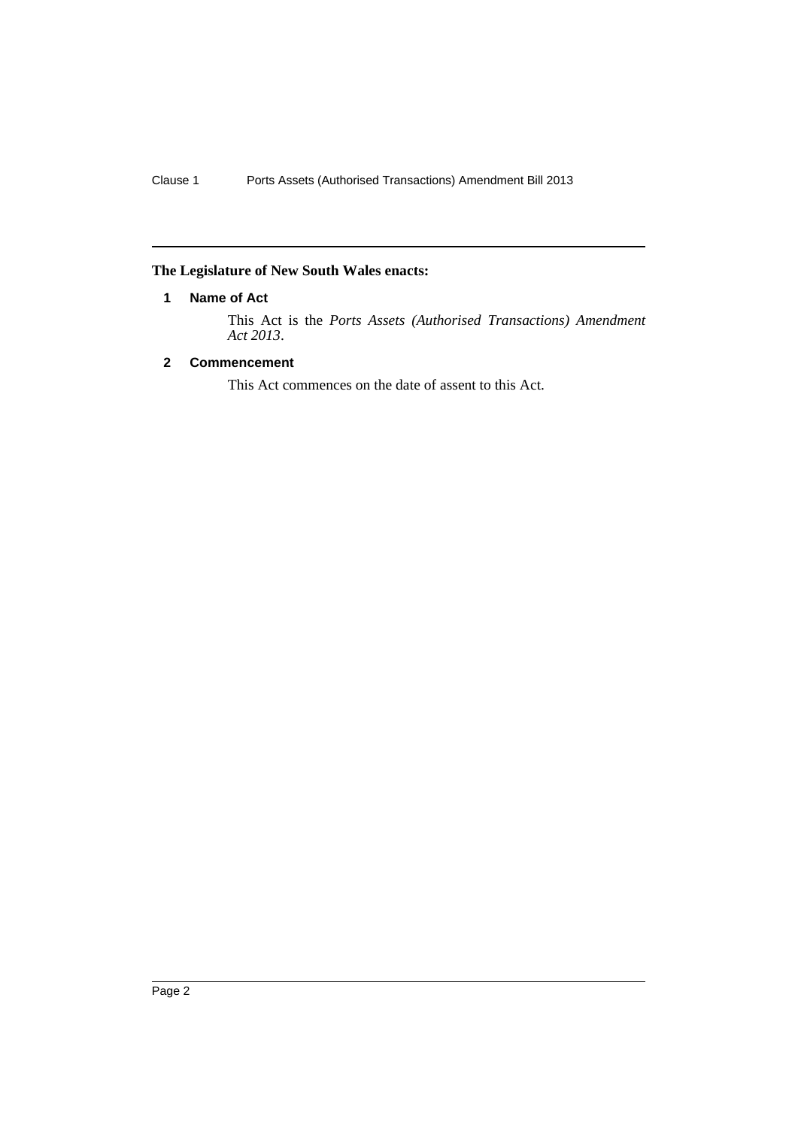### <span id="page-3-0"></span>**The Legislature of New South Wales enacts:**

#### **1 Name of Act**

This Act is the *Ports Assets (Authorised Transactions) Amendment Act 2013*.

#### <span id="page-3-1"></span>**2 Commencement**

This Act commences on the date of assent to this Act.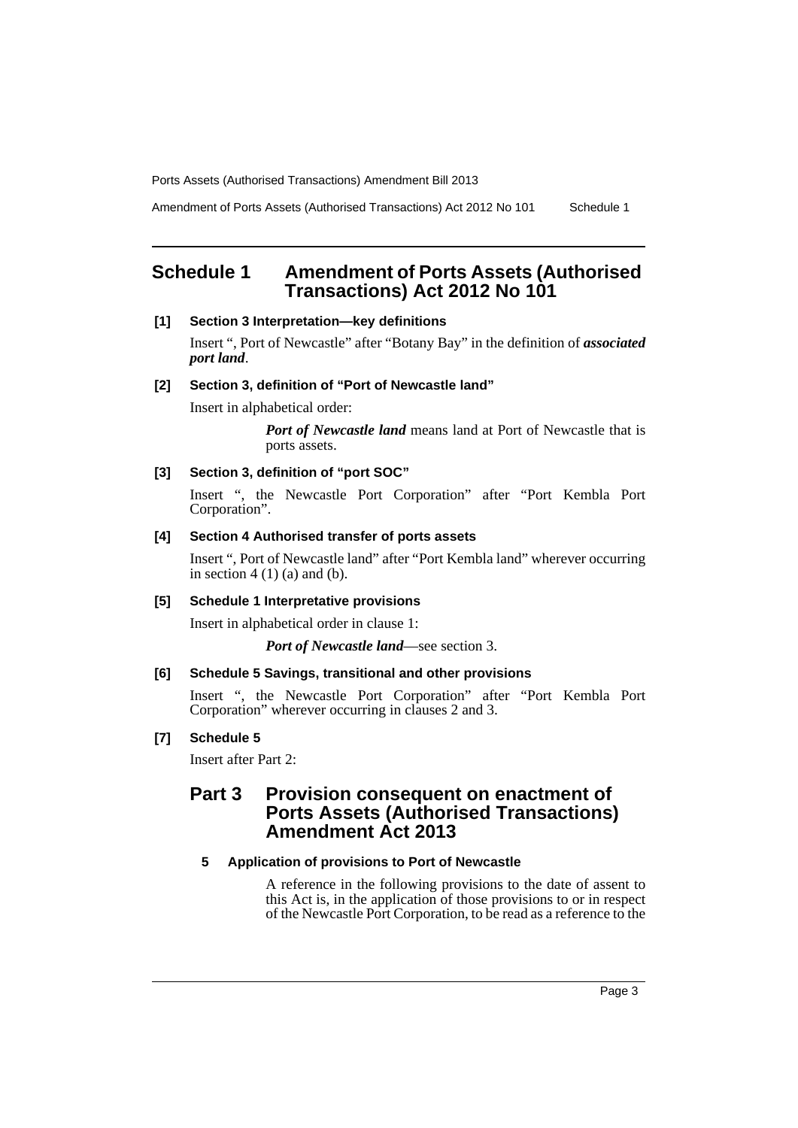Amendment of Ports Assets (Authorised Transactions) Act 2012 No 101 Schedule 1

## <span id="page-4-0"></span>**Schedule 1 Amendment of Ports Assets (Authorised Transactions) Act 2012 No 101**

#### **[1] Section 3 Interpretation—key definitions**

Insert ", Port of Newcastle" after "Botany Bay" in the definition of *associated port land*.

#### **[2] Section 3, definition of "Port of Newcastle land"**

Insert in alphabetical order:

*Port of Newcastle land* means land at Port of Newcastle that is ports assets.

#### **[3] Section 3, definition of "port SOC"**

Insert ", the Newcastle Port Corporation" after "Port Kembla Port Corporation".

#### **[4] Section 4 Authorised transfer of ports assets**

Insert ", Port of Newcastle land" after "Port Kembla land" wherever occurring in section  $4(1)(a)$  and  $(b)$ .

#### **[5] Schedule 1 Interpretative provisions**

Insert in alphabetical order in clause 1:

*Port of Newcastle land*—see section 3.

#### **[6] Schedule 5 Savings, transitional and other provisions**

Insert ", the Newcastle Port Corporation" after "Port Kembla Port Corporation" wherever occurring in clauses 2 and 3.

#### **[7] Schedule 5**

Insert after Part 2:

## **Part 3 Provision consequent on enactment of Ports Assets (Authorised Transactions) Amendment Act 2013**

#### **5 Application of provisions to Port of Newcastle**

A reference in the following provisions to the date of assent to this Act is, in the application of those provisions to or in respect of the Newcastle Port Corporation, to be read as a reference to the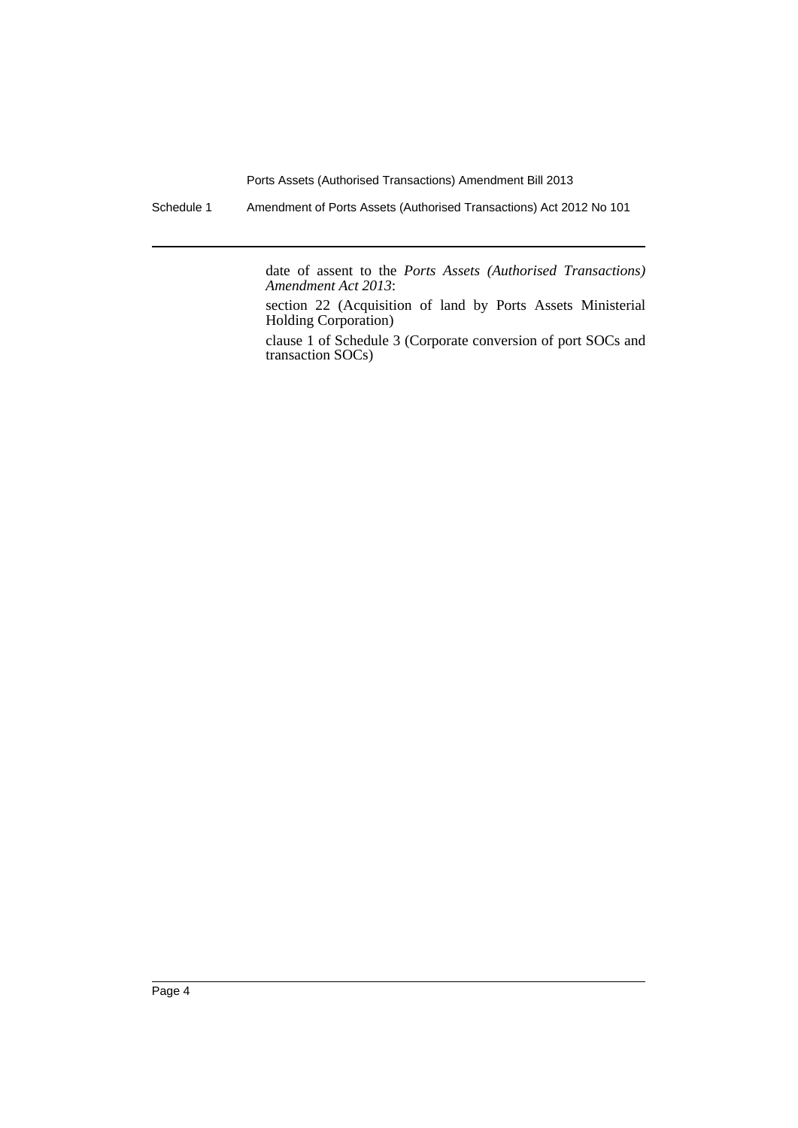Schedule 1 Amendment of Ports Assets (Authorised Transactions) Act 2012 No 101

date of assent to the *Ports Assets (Authorised Transactions) Amendment Act 2013*:

section 22 (Acquisition of land by Ports Assets Ministerial Holding Corporation)

clause 1 of Schedule 3 (Corporate conversion of port SOCs and transaction SOCs)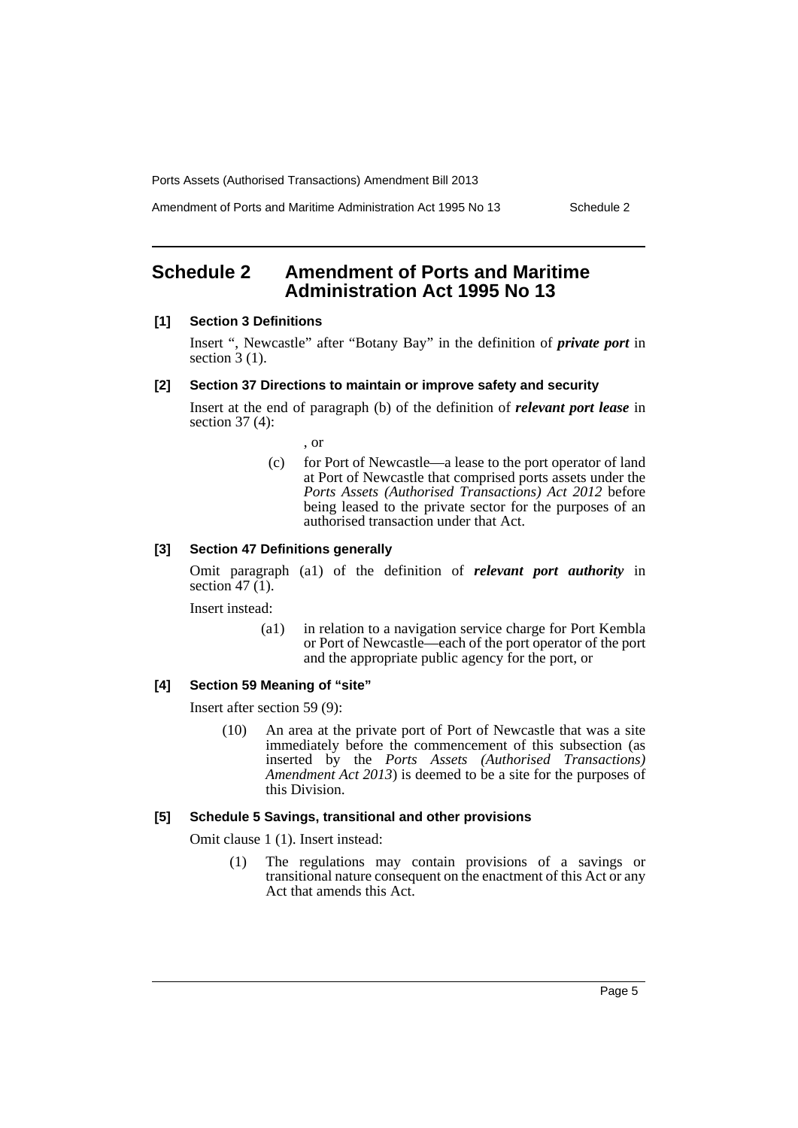Amendment of Ports and Maritime Administration Act 1995 No 13 Schedule 2

## <span id="page-6-0"></span>**Schedule 2 Amendment of Ports and Maritime Administration Act 1995 No 13**

#### **[1] Section 3 Definitions**

Insert ", Newcastle" after "Botany Bay" in the definition of *private port* in section  $3(1)$ .

#### **[2] Section 37 Directions to maintain or improve safety and security**

Insert at the end of paragraph (b) of the definition of *relevant port lease* in section 37 (4):

, or

(c) for Port of Newcastle—a lease to the port operator of land at Port of Newcastle that comprised ports assets under the *Ports Assets (Authorised Transactions) Act 2012* before being leased to the private sector for the purposes of an authorised transaction under that Act.

#### **[3] Section 47 Definitions generally**

Omit paragraph (a1) of the definition of *relevant port authority* in section  $47(1)$ .

Insert instead:

(a1) in relation to a navigation service charge for Port Kembla or Port of Newcastle—each of the port operator of the port and the appropriate public agency for the port, or

#### **[4] Section 59 Meaning of "site"**

Insert after section 59 (9):

(10) An area at the private port of Port of Newcastle that was a site immediately before the commencement of this subsection (as inserted by the *Ports Assets (Authorised Transactions) Amendment Act 2013*) is deemed to be a site for the purposes of this Division.

#### **[5] Schedule 5 Savings, transitional and other provisions**

Omit clause 1 (1). Insert instead:

(1) The regulations may contain provisions of a savings or transitional nature consequent on the enactment of this Act or any Act that amends this Act.